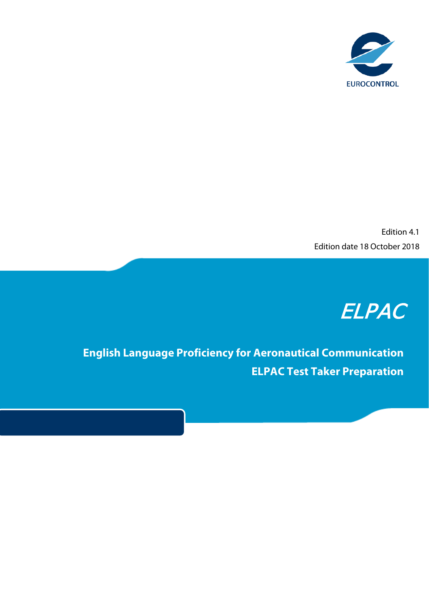

Edition 4.1 Edition date 18 October 2018

## ELPAC

**English Language Proficiency for Aeronautical Communication ELPAC Test Taker Preparation**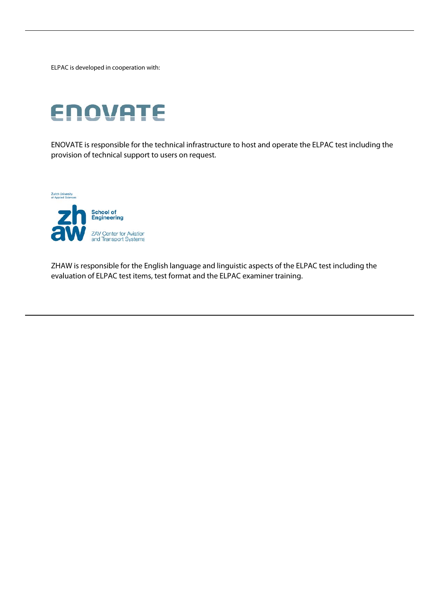ELPAC is developed in cooperation with:

# **ENOVATE**

ENOVATE is responsible for the technical infrastructure to host and operate the ELPAC test including the provision of technical support to users on request.



ZHAW is responsible for the English language and linguistic aspects of the ELPAC test including the evaluation of ELPAC test items, test format and the ELPAC examiner training.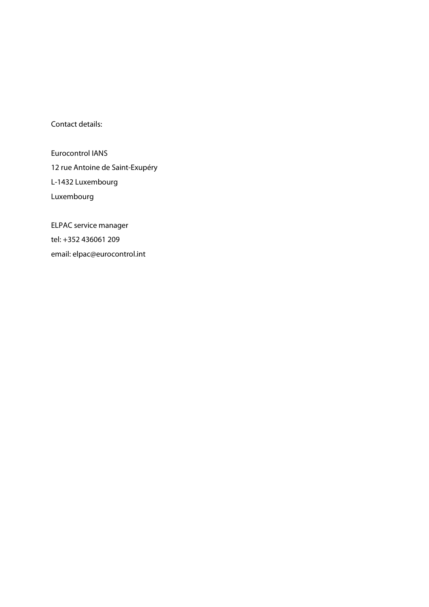Contact details:

Eurocontrol IANS 12 rue Antoine de Saint-Exupéry L-1432 Luxembourg Luxembourg

ELPAC service manager tel: +352 436061 209 email: elpac@eurocontrol.int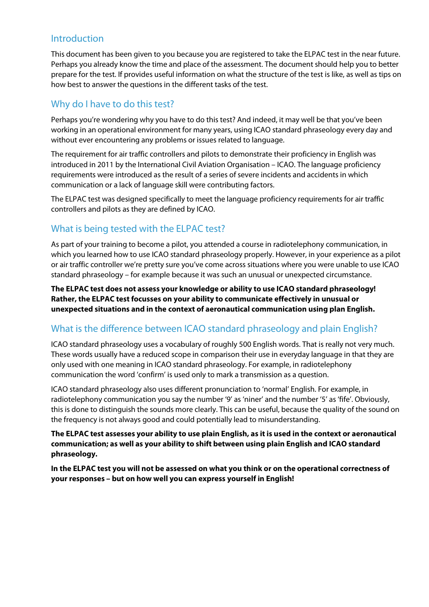## Introduction

This document has been given to you because you are registered to take the ELPAC test in the near future. Perhaps you already know the time and place of the assessment. The document should help you to better prepare for the test. If provides useful information on what the structure of the test is like, as well as tips on how best to answer the questions in the different tasks of the test.

## Why do I have to do this test?

Perhaps you're wondering why you have to do this test? And indeed, it may well be that you've been working in an operational environment for many years, using ICAO standard phraseology every day and without ever encountering any problems or issues related to language.

The requirement for air traffic controllers and pilots to demonstrate their proficiency in English was introduced in 2011 by the International Civil Aviation Organisation – ICAO. The language proficiency requirements were introduced as the result of a series of severe incidents and accidents in which communication or a lack of language skill were contributing factors.

The ELPAC test was designed specifically to meet the language proficiency requirements for air traffic controllers and pilots as they are defined by ICAO.

## What is being tested with the ELPAC test?

As part of your training to become a pilot, you attended a course in radiotelephony communication, in which you learned how to use ICAO standard phraseology properly. However, in your experience as a pilot or air traffic controller we're pretty sure you've come across situations where you were unable to use ICAO standard phraseology – for example because it was such an unusual or unexpected circumstance.

**The ELPAC test does not assess your knowledge or ability to use ICAO standard phraseology! Rather, the ELPAC test focusses on your ability to communicate effectively in unusual or unexpected situations and in the context of aeronautical communication using plan English.**

## What is the difference between ICAO standard phraseology and plain English?

ICAO standard phraseology uses a vocabulary of roughly 500 English words. That is really not very much. These words usually have a reduced scope in comparison their use in everyday language in that they are only used with one meaning in ICAO standard phraseology. For example, in radiotelephony communication the word 'confirm' is used only to mark a transmission as a question.

ICAO standard phraseology also uses different pronunciation to 'normal' English. For example, in radiotelephony communication you say the number '9' as 'niner' and the number '5' as 'fife'. Obviously, this is done to distinguish the sounds more clearly. This can be useful, because the quality of the sound on the frequency is not always good and could potentially lead to misunderstanding.

**The ELPAC test assesses your ability to use plain English, as it is used in the context or aeronautical communication; as well as your ability to shift between using plain English and ICAO standard phraseology.**

**In the ELPAC test you will not be assessed on what you think or on the operational correctness of your responses – but on how well you can express yourself in English!**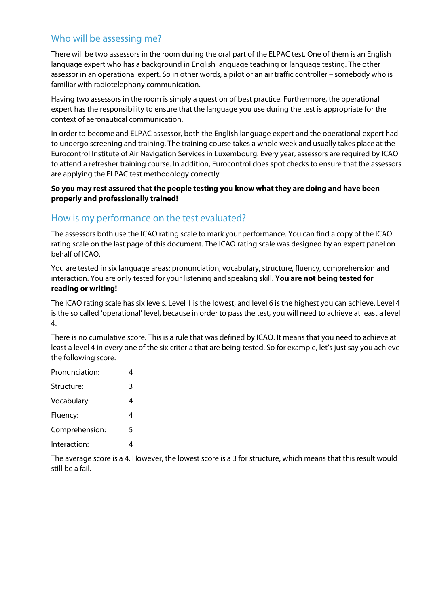## Who will be assessing me?

There will be two assessors in the room during the oral part of the ELPAC test. One of them is an English language expert who has a background in English language teaching or language testing. The other assessor in an operational expert. So in other words, a pilot or an air traffic controller – somebody who is familiar with radiotelephony communication.

Having two assessors in the room is simply a question of best practice. Furthermore, the operational expert has the responsibility to ensure that the language you use during the test is appropriate for the context of aeronautical communication.

In order to become and ELPAC assessor, both the English language expert and the operational expert had to undergo screening and training. The training course takes a whole week and usually takes place at the Eurocontrol Institute of Air Navigation Services in Luxembourg. Every year, assessors are required by ICAO to attend a refresher training course. In addition, Eurocontrol does spot checks to ensure that the assessors are applying the ELPAC test methodology correctly.

#### **So you may rest assured that the people testing you know what they are doing and have been properly and professionally trained!**

## How is my performance on the test evaluated?

The assessors both use the ICAO rating scale to mark your performance. You can find a copy of the ICAO rating scale on the last page of this document. The ICAO rating scale was designed by an expert panel on behalf of ICAO.

You are tested in six language areas: pronunciation, vocabulary, structure, fluency, comprehension and interaction. You are only tested for your listening and speaking skill. **You are not being tested for reading or writing!**

The ICAO rating scale has six levels. Level 1 is the lowest, and level 6 is the highest you can achieve. Level 4 is the so called 'operational' level, because in order to pass the test, you will need to achieve at least a level 4.

There is no cumulative score. This is a rule that was defined by ICAO. It means that you need to achieve at least a level 4 in every one of the six criteria that are being tested. So for example, let's just say you achieve the following score:

| Pronunciation: | 4 |
|----------------|---|
| Structure:     | 3 |
| Vocabulary:    | 4 |
| Fluency:       | 4 |
| Comprehension: | 5 |
| Interaction:   |   |

The average score is a 4. However, the lowest score is a 3 for structure, which means that this result would still be a fail.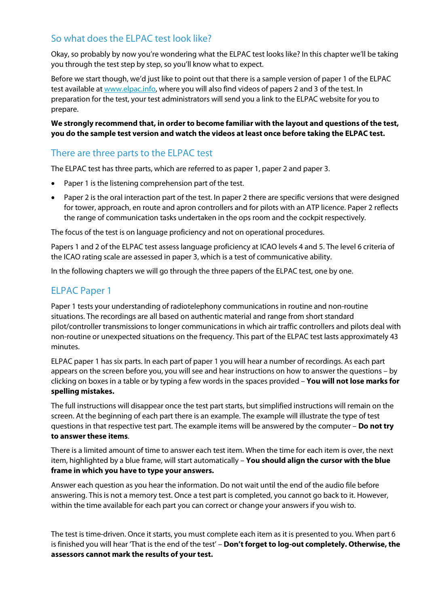## So what does the ELPAC test look like?

Okay, so probably by now you're wondering what the ELPAC test looks like? In this chapter we'll be taking you through the test step by step, so you'll know what to expect.

Before we start though, we'd just like to point out that there is a sample version of paper 1 of the ELPAC test available a[t www.elpac.info,](http://www.elpac.info/) where you will also find videos of papers 2 and 3 of the test. In preparation for the test, your test administrators will send you a link to the ELPAC website for you to prepare.

**We strongly recommend that, in order to become familiar with the layout and questions of the test, you do the sample test version and watch the videos at least once before taking the ELPAC test.**

## There are three parts to the ELPAC test

The ELPAC test has three parts, which are referred to as paper 1, paper 2 and paper 3.

- Paper 1 is the listening comprehension part of the test.
- Paper 2 is the oral interaction part of the test. In paper 2 there are specific versions that were designed for tower, approach, en route and apron controllers and for pilots with an ATP licence. Paper 2 reflects the range of communication tasks undertaken in the ops room and the cockpit respectively.

The focus of the test is on language proficiency and not on operational procedures.

Papers 1 and 2 of the ELPAC test assess language proficiency at ICAO levels 4 and 5. The level 6 criteria of the ICAO rating scale are assessed in paper 3, which is a test of communicative ability.

In the following chapters we will go through the three papers of the ELPAC test, one by one.

## ELPAC Paper 1

Paper 1 tests your understanding of radiotelephony communications in routine and non-routine situations. The recordings are all based on authentic material and range from short standard pilot/controller transmissions to longer communications in which air traffic controllers and pilots deal with non-routine or unexpected situations on the frequency. This part of the ELPAC test lasts approximately 43 minutes.

ELPAC paper 1 has six parts. In each part of paper 1 you will hear a number of recordings. As each part appears on the screen before you, you will see and hear instructions on how to answer the questions – by clicking on boxes in a table or by typing a few words in the spaces provided – **You will not lose marks for spelling mistakes.**

The full instructions will disappear once the test part starts, but simplified instructions will remain on the screen. At the beginning of each part there is an example. The example will illustrate the type of test questions in that respective test part. The example items will be answered by the computer – **Do not try to answer these items**.

There is a limited amount of time to answer each test item. When the time for each item is over, the next item, highlighted by a blue frame, will start automatically – **You should align the cursor with the blue frame in which you have to type your answers.**

Answer each question as you hear the information. Do not wait until the end of the audio file before answering. This is not a memory test. Once a test part is completed, you cannot go back to it. However, within the time available for each part you can correct or change your answers if you wish to.

The test is time-driven. Once it starts, you must complete each item as it is presented to you. When part 6 is finished you will hear 'That is the end of the test' – **Don't forget to log-out completely. Otherwise, the assessors cannot mark the results of your test.**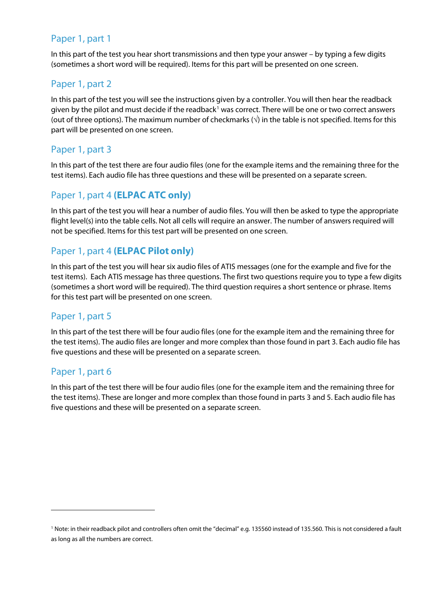## Paper 1, part 1

In this part of the test you hear short transmissions and then type your answer – by typing a few digits (sometimes a short word will be required). Items for this part will be presented on one screen.

## Paper 1, part 2

In this part of the test you will see the instructions given by a controller. You will then hear the readback given by the pilot and must decide if the readback<sup>[1](#page-6-0)</sup> was correct. There will be one or two correct answers (out of three options). The maximum number of checkmarks  $(\sqrt{})$  in the table is not specified. Items for this part will be presented on one screen.

## Paper 1, part 3

In this part of the test there are four audio files (one for the example items and the remaining three for the test items). Each audio file has three questions and these will be presented on a separate screen.

## Paper 1, part 4 **(ELPAC ATC only)**

In this part of the test you will hear a number of audio files. You will then be asked to type the appropriate flight level(s) into the table cells. Not all cells will require an answer. The number of answers required will not be specified. Items for this test part will be presented on one screen.

## Paper 1, part 4 **(ELPAC Pilot only)**

In this part of the test you will hear six audio files of ATIS messages (one for the example and five for the test items). Each ATIS message has three questions. The first two questions require you to type a few digits (sometimes a short word will be required). The third question requires a short sentence or phrase. Items for this test part will be presented on one screen.

## Paper 1, part 5

In this part of the test there will be four audio files (one for the example item and the remaining three for the test items). The audio files are longer and more complex than those found in part 3. Each audio file has five questions and these will be presented on a separate screen.

#### Paper 1, part 6

1

In this part of the test there will be four audio files (one for the example item and the remaining three for the test items). These are longer and more complex than those found in parts 3 and 5. Each audio file has five questions and these will be presented on a separate screen.

<span id="page-6-0"></span><sup>1</sup> Note: in their readback pilot and controllers often omit the "decimal" e.g. 135560 instead of 135.560. This is not considered a fault as long as all the numbers are correct.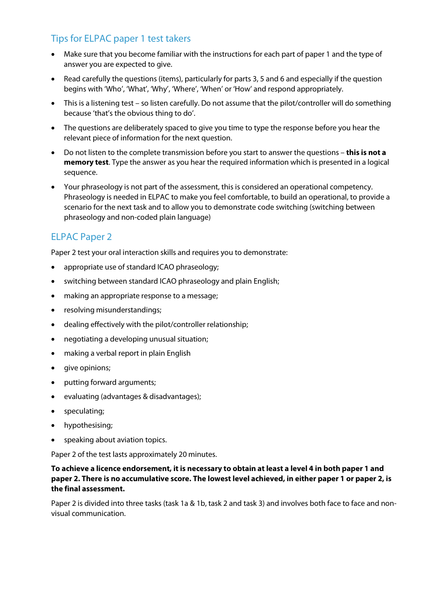## Tips for ELPAC paper 1 test takers

- Make sure that you become familiar with the instructions for each part of paper 1 and the type of answer you are expected to give.
- Read carefully the questions (items), particularly for parts 3, 5 and 6 and especially if the question begins with 'Who', 'What', 'Why', 'Where', 'When' or 'How' and respond appropriately.
- This is a listening test so listen carefully. Do not assume that the pilot/controller will do something because 'that's the obvious thing to do'.
- The questions are deliberately spaced to give you time to type the response before you hear the relevant piece of information for the next question.
- Do not listen to the complete transmission before you start to answer the questions **this is not a memory test**. Type the answer as you hear the required information which is presented in a logical sequence.
- Your phraseology is not part of the assessment, this is considered an operational competency. Phraseology is needed in ELPAC to make you feel comfortable, to build an operational, to provide a scenario for the next task and to allow you to demonstrate code switching (switching between phraseology and non-coded plain language)

## ELPAC Paper 2

Paper 2 test your oral interaction skills and requires you to demonstrate:

- appropriate use of standard ICAO phraseology;
- switching between standard ICAO phraseology and plain English;
- making an appropriate response to a message;
- resolving misunderstandings;
- dealing effectively with the pilot/controller relationship;
- negotiating a developing unusual situation;
- making a verbal report in plain English
- give opinions;
- putting forward arguments;
- evaluating (advantages & disadvantages);
- speculating;
- hypothesising;
- speaking about aviation topics.

Paper 2 of the test lasts approximately 20 minutes.

#### **To achieve a licence endorsement, it is necessary to obtain at least a level 4 in both paper 1 and paper 2. There is no accumulative score. The lowest level achieved, in either paper 1 or paper 2, is the final assessment.**

Paper 2 is divided into three tasks (task 1a & 1b, task 2 and task 3) and involves both face to face and nonvisual communication.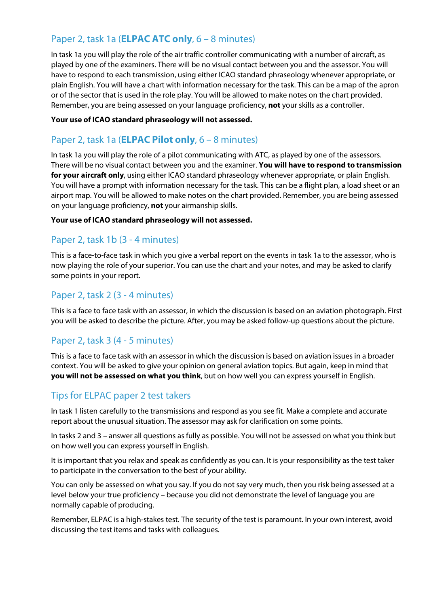## Paper 2, task 1a (**ELPAC ATC only**, 6 – 8 minutes)

In task 1a you will play the role of the air traffic controller communicating with a number of aircraft, as played by one of the examiners. There will be no visual contact between you and the assessor. You will have to respond to each transmission, using either ICAO standard phraseology whenever appropriate, or plain English. You will have a chart with information necessary for the task. This can be a map of the apron or of the sector that is used in the role play. You will be allowed to make notes on the chart provided. Remember, you are being assessed on your language proficiency, **not** your skills as a controller.

#### **Your use of ICAO standard phraseology will not assessed.**

## Paper 2, task 1a (**ELPAC Pilot only**, 6 – 8 minutes)

In task 1a you will play the role of a pilot communicating with ATC, as played by one of the assessors. There will be no visual contact between you and the examiner. **You will have to respond to transmission for your aircraft only**, using either ICAO standard phraseology whenever appropriate, or plain English. You will have a prompt with information necessary for the task. This can be a flight plan, a load sheet or an airport map. You will be allowed to make notes on the chart provided. Remember, you are being assessed on your language proficiency, **not** your airmanship skills.

#### **Your use of ICAO standard phraseology will not assessed.**

## Paper 2, task 1b (3 - 4 minutes)

This is a face-to-face task in which you give a verbal report on the events in task 1a to the assessor, who is now playing the role of your superior. You can use the chart and your notes, and may be asked to clarify some points in your report.

## Paper 2, task 2 (3 - 4 minutes)

This is a face to face task with an assessor, in which the discussion is based on an aviation photograph. First you will be asked to describe the picture. After, you may be asked follow-up questions about the picture.

## Paper 2, task 3 (4 - 5 minutes)

This is a face to face task with an assessor in which the discussion is based on aviation issues in a broader context. You will be asked to give your opinion on general aviation topics. But again, keep in mind that **you will not be assessed on what you think**, but on how well you can express yourself in English.

## Tips for ELPAC paper 2 test takers

In task 1 listen carefully to the transmissions and respond as you see fit. Make a complete and accurate report about the unusual situation. The assessor may ask for clarification on some points.

In tasks 2 and 3 – answer all questions as fully as possible. You will not be assessed on what you think but on how well you can express yourself in English.

It is important that you relax and speak as confidently as you can. It is your responsibility as the test taker to participate in the conversation to the best of your ability.

You can only be assessed on what you say. If you do not say very much, then you risk being assessed at a level below your true proficiency – because you did not demonstrate the level of language you are normally capable of producing.

Remember, ELPAC is a high-stakes test. The security of the test is paramount. In your own interest, avoid discussing the test items and tasks with colleagues.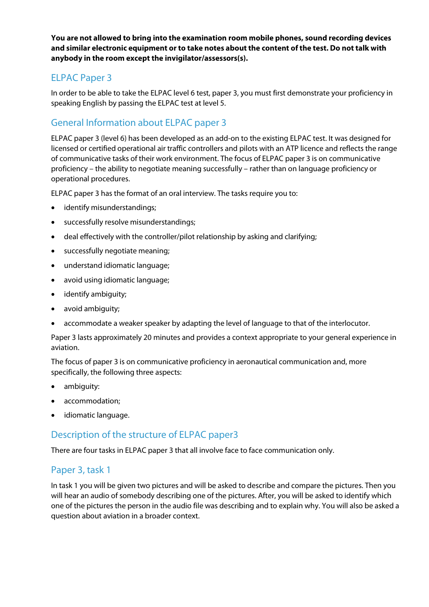**You are not allowed to bring into the examination room mobile phones, sound recording devices and similar electronic equipment or to take notes about the content of the test. Do not talk with anybody in the room except the invigilator/assessors(s).**

## ELPAC Paper 3

In order to be able to take the ELPAC level 6 test, paper 3, you must first demonstrate your proficiency in speaking English by passing the ELPAC test at level 5.

## General Information about ELPAC paper 3

ELPAC paper 3 (level 6) has been developed as an add-on to the existing ELPAC test. It was designed for licensed or certified operational air traffic controllers and pilots with an ATP licence and reflects the range of communicative tasks of their work environment. The focus of ELPAC paper 3 is on communicative proficiency – the ability to negotiate meaning successfully – rather than on language proficiency or operational procedures.

ELPAC paper 3 has the format of an oral interview. The tasks require you to:

- identify misunderstandings;
- successfully resolve misunderstandings;
- deal effectively with the controller/pilot relationship by asking and clarifying;
- successfully negotiate meaning;
- understand idiomatic language;
- avoid using idiomatic language;
- identify ambiguity;
- avoid ambiguity;
- accommodate a weaker speaker by adapting the level of language to that of the interlocutor.

Paper 3 lasts approximately 20 minutes and provides a context appropriate to your general experience in aviation.

The focus of paper 3 is on communicative proficiency in aeronautical communication and, more specifically, the following three aspects:

- ambiguity:
- accommodation;
- idiomatic language.

## Description of the structure of ELPAC paper3

There are four tasks in ELPAC paper 3 that all involve face to face communication only.

## Paper 3, task 1

In task 1 you will be given two pictures and will be asked to describe and compare the pictures. Then you will hear an audio of somebody describing one of the pictures. After, you will be asked to identify which one of the pictures the person in the audio file was describing and to explain why. You will also be asked a question about aviation in a broader context.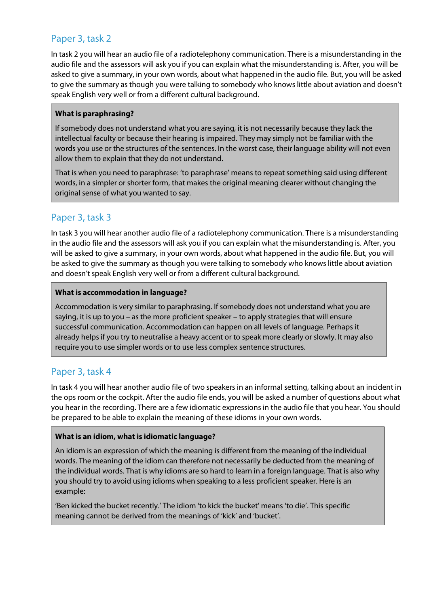## Paper 3, task 2

In task 2 you will hear an audio file of a radiotelephony communication. There is a misunderstanding in the audio file and the assessors will ask you if you can explain what the misunderstanding is. After, you will be asked to give a summary, in your own words, about what happened in the audio file. But, you will be asked to give the summary as though you were talking to somebody who knows little about aviation and doesn't speak English very well or from a different cultural background.

#### **What is paraphrasing?**

If somebody does not understand what you are saying, it is not necessarily because they lack the intellectual faculty or because their hearing is impaired. They may simply not be familiar with the words you use or the structures of the sentences. In the worst case, their language ability will not even allow them to explain that they do not understand.

That is when you need to paraphrase: 'to paraphrase' means to repeat something said using different words, in a simpler or shorter form, that makes the original meaning clearer without changing the original sense of what you wanted to say.

## Paper 3, task 3

In task 3 you will hear another audio file of a radiotelephony communication. There is a misunderstanding in the audio file and the assessors will ask you if you can explain what the misunderstanding is. After, you will be asked to give a summary, in your own words, about what happened in the audio file. But, you will be asked to give the summary as though you were talking to somebody who knows little about aviation and doesn't speak English very well or from a different cultural background.

#### **What is accommodation in language?**

Accommodation is very similar to paraphrasing. If somebody does not understand what you are saying, it is up to you – as the more proficient speaker – to apply strategies that will ensure successful communication. Accommodation can happen on all levels of language. Perhaps it already helps if you try to neutralise a heavy accent or to speak more clearly or slowly. It may also require you to use simpler words or to use less complex sentence structures.

## Paper 3, task 4

In task 4 you will hear another audio file of two speakers in an informal setting, talking about an incident in the ops room or the cockpit. After the audio file ends, you will be asked a number of questions about what you hear in the recording. There are a few idiomatic expressions in the audio file that you hear. You should be prepared to be able to explain the meaning of these idioms in your own words.

#### **What is an idiom, what is idiomatic language?**

An idiom is an expression of which the meaning is different from the meaning of the individual words. The meaning of the idiom can therefore not necessarily be deducted from the meaning of the individual words. That is why idioms are so hard to learn in a foreign language. That is also why you should try to avoid using idioms when speaking to a less proficient speaker. Here is an example:

'Ben kicked the bucket recently.' The idiom 'to kick the bucket' means 'to die'. This specific meaning cannot be derived from the meanings of 'kick' and 'bucket'.